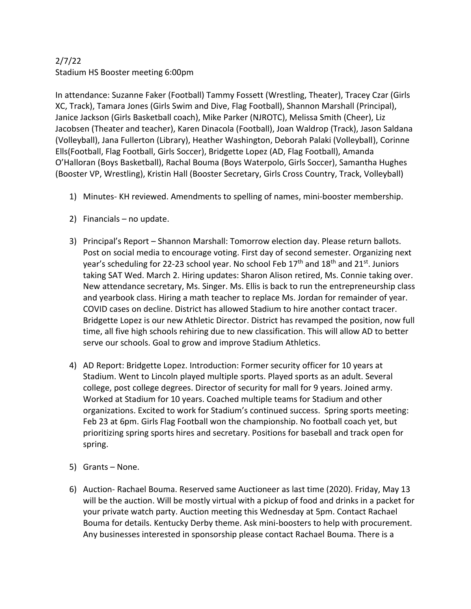## 2/7/22 Stadium HS Booster meeting 6:00pm

In attendance: Suzanne Faker (Football) Tammy Fossett (Wrestling, Theater), Tracey Czar (Girls XC, Track), Tamara Jones (Girls Swim and Dive, Flag Football), Shannon Marshall (Principal), Janice Jackson (Girls Basketball coach), Mike Parker (NJROTC), Melissa Smith (Cheer), Liz Jacobsen (Theater and teacher), Karen Dinacola (Football), Joan Waldrop (Track), Jason Saldana (Volleyball), Jana Fullerton (Library), Heather Washington, Deborah Palaki (Volleyball), Corinne Ells(Football, Flag Football, Girls Soccer), Bridgette Lopez (AD, Flag Football), Amanda O'Halloran (Boys Basketball), Rachal Bouma (Boys Waterpolo, Girls Soccer), Samantha Hughes (Booster VP, Wrestling), Kristin Hall (Booster Secretary, Girls Cross Country, Track, Volleyball)

- 1) Minutes- KH reviewed. Amendments to spelling of names, mini-booster membership.
- 2) Financials no update.
- 3) Principal's Report Shannon Marshall: Tomorrow election day. Please return ballots. Post on social media to encourage voting. First day of second semester. Organizing next year's scheduling for 22-23 school year. No school Feb  $17<sup>th</sup>$  and  $18<sup>th</sup>$  and  $21<sup>st</sup>$ . Juniors taking SAT Wed. March 2. Hiring updates: Sharon Alison retired, Ms. Connie taking over. New attendance secretary, Ms. Singer. Ms. Ellis is back to run the entrepreneurship class and yearbook class. Hiring a math teacher to replace Ms. Jordan for remainder of year. COVID cases on decline. District has allowed Stadium to hire another contact tracer. Bridgette Lopez is our new Athletic Director. District has revamped the position, now full time, all five high schools rehiring due to new classification. This will allow AD to better serve our schools. Goal to grow and improve Stadium Athletics.
- 4) AD Report: Bridgette Lopez. Introduction: Former security officer for 10 years at Stadium. Went to Lincoln played multiple sports. Played sports as an adult. Several college, post college degrees. Director of security for mall for 9 years. Joined army. Worked at Stadium for 10 years. Coached multiple teams for Stadium and other organizations. Excited to work for Stadium's continued success. Spring sports meeting: Feb 23 at 6pm. Girls Flag Football won the championship. No football coach yet, but prioritizing spring sports hires and secretary. Positions for baseball and track open for spring.
- 5) Grants None.
- 6) Auction- Rachael Bouma. Reserved same Auctioneer as last time (2020). Friday, May 13 will be the auction. Will be mostly virtual with a pickup of food and drinks in a packet for your private watch party. Auction meeting this Wednesday at 5pm. Contact Rachael Bouma for details. Kentucky Derby theme. Ask mini-boosters to help with procurement. Any businesses interested in sponsorship please contact Rachael Bouma. There is a